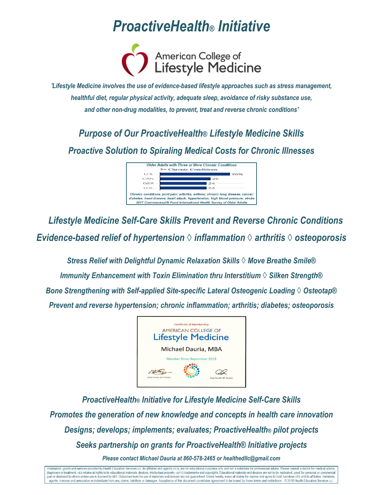

*'Lifestyle Medicine involves the use of evidence-based lifestyle approaches such as stress management, healthful diet, regular physical activity, adequate sleep, avoidance of risky substance use, and other non-drug modalities, to prevent, treat and reverse chronic conditions'*

*Purpose of Our ProactiveHealth® Lifestyle Medicine Skills Proactive Solution to Spiraling Medical Costs for Chronic Illnesses*



*Lifestyle Medicine Self-Care Skills Prevent and Reverse Chronic Conditions Evidence-based relief of hypertension ◊ inflammation ◊ arthritis ◊ osteoporosis*

*Stress Relief with Delightful Dynamic Relaxation Skills ◊ Move Breathe Smile® Immunity Enhancement with Toxin Elimination thru Interstitium ◊ Silken Strength® Bone Strengthening with Self-applied Site-specific Lateral Osteogenic Loading ◊ Osteotap® Prevent and reverse hypertension; chronic inflammation; arthritis; diabetes; osteoporosis*



*ProactiveHealth® Initiative for Lifestyle Medicine Self-Care Skills Promotes the generation of new knowledge and concepts in health care innovation Designs; develops; implements; evaluates; ProactiveHealth® pilot projects Seeks partnership on grants for ProactiveHealth® Initiative projects Please contact Michael Dauria at 860-578-2465 or [healthedllc@gmail.com](mailto:healthedllc@gmail.com)*

nformation, goods and services provided by Health Education Services LLC, its affiliates and agents (HES), are for educational purposes only and not a substitute for professional advice. Please consult a doctor for medical diagnoses or treatment. HES retains all rights to its educational materials, devices, intellectual property, USPTO trademarks and copyrights. Educational materials and devices are not to be replicated, used for personal or gain or disclosed to others unless use is licensed by HES. Outcomes from the use of materials and devices are not guaranteed. Users hereby waive all claims for injuries and agree to hold harmless HES and its affiliates, me agents, trainees and associates as individuals from any claims, liabilities or damages. Acceptance of this document constitutes agreement to be bound by these terms and restrictions. © 2018 Health Education Services LLC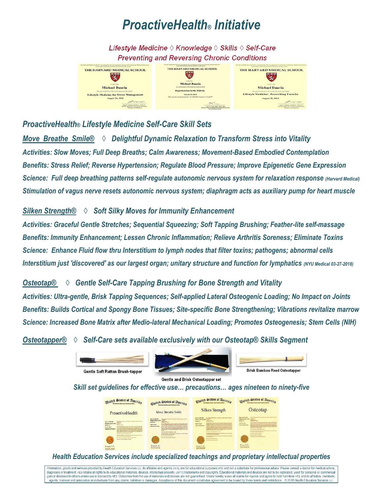Lifestyle Medicine  $\Diamond$  Knowledge  $\Diamond$  Skills  $\Diamond$  Self-Care **Preventing and Reversing Chronic Conditions** 



### *ProactiveHealth® Lifestyle Medicine Self-Care Skill Sets*

*Move Breathe Smile® ◊ Delightful Dynamic Relaxation to Transform Stress into Vitality Activities: Slow Moves; Full Deep Breaths; Calm Awareness; Movement-Based Embodied Contemplation Benefits: Stress Relief; Reverse Hypertension; Regulate Blood Pressure; Improve Epigenetic Gene Expression Science: Full deep breathing patterns self-regulate autonomic nervous system for relaxation response (Harvard Medical) Stimulation of vagus nerve resets autonomic nervous system; diaphragm acts as auxiliary pump for heart muscle*

### *Silken Strength® ◊ Soft Silky Moves for Immunity Enhancement*

*Activities: Graceful Gentle Stretches; Sequential Squeezing; Soft Tapping Brushing; Feather-lite self-massage Benefits: Immunity Enhancement; Lessen Chronic Inflammation; Relieve Arthritis Soreness; Eliminate Toxins Science: Enhance Fluid flow thru Interstitium to lymph nodes that filter toxins; pathogens; abnormal cells Interstitium just 'discovered' as our largest organ; unitary structure and function for lymphatics (NYU Medical 03-27-2018)*

*Osteotap® ◊ Gentle Self-Care Tapping Brushing for Bone Strength and Vitality Activities: Ultra-gentle, Brisk Tapping Sequences; Self-applied Lateral Osteogenic Loading; No Impact on Joints Benefits: Builds Cortical and Spongy Bone Tissues; Site-specific Bone Strengthening; Vibrations revitalize marrow Science: Increased Bone Matrix after Medio-lateral Mechanical Loading; Promotes Osteogenesis; Stem Cells (NIH)* 

*Osteotapper® ◊ Self-Care sets available exclusively with our Osteotap® Skills Segment*



Gentle and Brisk Osteotapper set

#### *Skill set guidelines for effective use… precautions… ages nineteen to ninety-five*



### *Health Education Services include specialized teachings and proprietary intellectual properties*

Information, goods and services provided by Health Education Services LLC, its affiliates and agents (HES), are for educational purposes only and not a substitute for professional advice. Please consult a doctor for medica monder and communications of the communications of the communications of the communications of the communications of the communications of the communications of the communications of the communications of the communication gain or disclosed to others unless use is licensed by HES. Outcomes from the use of materials and devices are not guaranteed. Users hereby waive all claims for injuries and agree to hold harmless HES and its affiliates, me agents, trainees and associates as individuals from any claims, liabilities or damages. Acceptance of this document constitutes agreement to be bound by these terms and restrictions. © 2018 Health Education Services LLC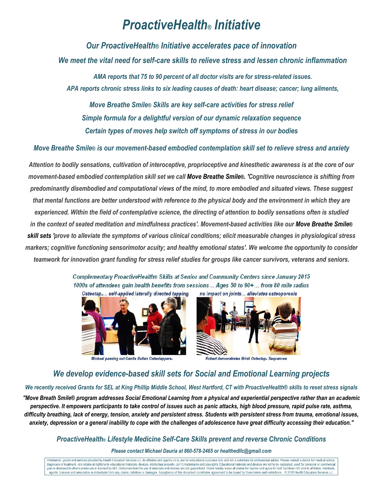*Our ProactiveHealth® Initiative accelerates pace of innovation*

*We meet the vital need for self-care skills to relieve stress and lessen chronic inflammation*

*AMA reports that 75 to 90 percent of all doctor visits are for stress-related issues. APA reports chronic stress links to six leading causes of death: heart disease; cancer; lung ailments,*

*Move Breathe Smile® Skills are key self-care activities for stress relief Simple formula for a delightful version of our dynamic relaxation sequence Certain types of moves help switch off symptoms of stress in our bodies*

*Move Breathe Smile® is our movement-based embodied contemplation skill set to relieve stress and anxiety*

*Attention to bodily sensations, cultivation of interoceptive, proprioceptive and kinesthetic awareness is at the core of our movement-based embodied contemplation skill set we call Move Breathe Smile®. 'Cognitive neuroscience is shifting from predominantly disembodied and computational views of the mind, to more embodied and situated views. These suggest that mental functions are better understood with reference to the physical body and the environment in which they are experienced. Within the field of contemplative science, the directing of attention to bodily sensations often is studied in the context of seated meditation and mindfulness practices'. Movement-based activities like our Move Breathe Smile® skill sets 'prove to alleviate the symptoms of various clinical conditions; elicit measurable changes in physiological stress markers; cognitive functioning sensorimotor acuity; and healthy emotional states'. We welcome the opportunity to consider teamwork for innovation grant funding for stress relief studies for groups like cancer survivors, veterans and seniors.*

> Complementary ProactiveHealth® Skills at Senior and Community Centers since January 2015 1000s of attendees gain health benefits from sessions... Ages 50 to 90+... from 80 mile radius Osteotap<sub>®</sub>... self-applied laterally directed tapping no impact on joints... alleviates osteoporosis



Michael passing out Gentle Rattan Osteotapperss



Robert demonstrates Brisk Osteotaps Sequences

### *We develop evidence-based skill sets for Social and Emotional Learning projects*

#### *We recently received Grants for SEL at King Phillip Middle School, West Hartford, CT with ProactiveHealth® skills to reset stress signals*

*"Move Breath Smile® program addresses Social Emotional Learning from a physical and experiential perspective rather than an academic perspective. It empowers participants to take control of issues such as panic attacks, high blood pressure, rapid pulse rate, asthma, difficulty breathing, lack of energy, tension, anxiety and persistent stress. Students with persistent stress from trauma, emotional issues, anxiety, depression or a general inability to cope with the challenges of adolescence have great difficulty accessing their education."*

#### *ProactiveHealth® Lifestyle Medicine Self-Care Skills prevent and reverse Chronic Conditions*

*Please contact Michael Dauria at 860-578-2465 or [healthedllc@gmail.com](mailto:healthedllc@gmail.com)*

nation, goods and services provided by Health Education Services LLC, its affiliates and agents (HES), are for educational purposes only and not a substitute for professional advice. Please consult a doctor for medical adv diagnoses or treatment. HES retains all rights to its educational materials, devices, intellectual property, USPTO trademarks and copyrights. Educational materials and devices are not to be replicated, used for personal or gain or disclosed to others unless use is licensed by HES. Outcomes from the use of materials and devices are not guaranteed. Users hereby waive all claims for injuries and agree to hold harmless HES and its affiliates, me agents, trainees and associates as individuals from any claims, liabilities or damages. Acceptance of this document constitutes agreement to be bound by these terms and restrictions. @ 2018 Health Education Services LLC